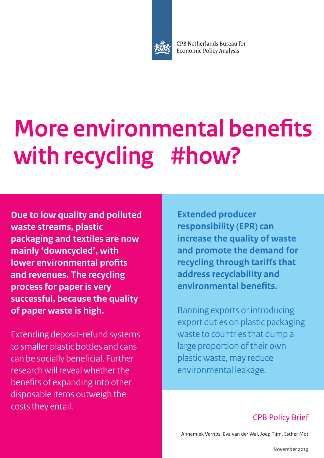

CPB Netherlands Bureau for **Economic Policy Analysis** 

# **More environmental benefits with recycling #how?**

**Due to low quality and polluted waste streams, plastic packaging and textiles are now mainly 'downcycled', with lower environmental profits and revenues. The recycling process for paper is very successful, because the quality of paper waste is high.**

Extending deposit-refund systems to smaller plastic bottles and cans can be socially beneficial. Further research will reveal whether the benefits of expanding into other disposable items outweigh the costs they entail.

**Extended producer responsibility (EPR) can increase the quality of waste and promote the demand for recycling through tariffs that address recyclability and environmental benefits.**

Banning exports or introducing export duties on plastic packaging waste to countries that dump a large proportion of their own plastic waste, may reduce environmental leakage.

### CPB Policy Brief

Annemiek Verrips, Eva van der Wal, Joep Tijm, Esther Mot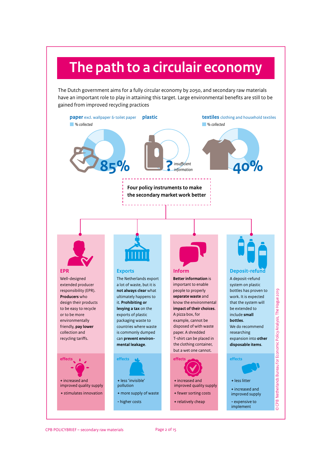# **The path to a circulair economy**

The Dutch government aims for a fully circular economy by 2050, and secondary raw materials have an important role to play in attaining this target. Large environmental benefits are still to be gained from improved recycling practices

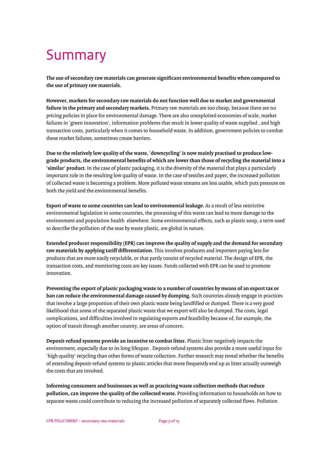# Summary

**The use of secondary raw materials can generate significant environmental benefits when compared to the use of primary raw materials.**

**However, markets for secondary raw materials do not function well due to market and governmental failure in the primary and secondary markets.** Primary raw materials are too cheap, because there are no pricing policies in place for environmental damage. There are also unexploited economies of scale, market failures in 'green innovation', information problems that result in lower quality of waste supplied , and high transaction costs, particularly when it comes to household waste. In addition, government policies to combat these market failures, sometimes create barriers.

**Due to the relatively low quality of the waste, 'downcycling' is now mainly practised to produce lowgrade products, the environmental benefits of which are lower than those of recycling the material into a 'similar' product**. In the case of plastic packaging, it is the diversity of the material that plays a particularly important role in the resulting low quality of waste. In the case of textiles and paper, the increased pollution of collected waste is becoming a problem. More polluted waste streams are less usable, which puts pressure on both the yield and the environmental benefits.

**Export of waste to some countries can lead to environmental leakage.** As a result of less restrictive environmental legislation in some countries, the processing of this waste can lead to more damage to the environment and population health elsewhere. Some environmental effects, such as plastic soup, a term used to describe the pollution of the seas by waste plastic, are global in nature.

**Extended producer responsibility (EPR) can improve the quality of supply and the demand for secondary raw materials by applying tariff differentiation.** This involves producers and importers paying less for products that are more easily recyclable, or that partly consist of recycled material. The design of EPR, the transaction costs, and monitoring costs are key issues. Funds collected with EPR can be used to promote innovation.

**Preventing the export of plastic packaging waste to a number of countries by means of an export tax or ban can reduce the environmental damage caused by dumping.** Such countries already engage in practices that involve a large proportion of their own plastic waste being landfilled or dumped. There is a very good likelihood that some of the separated plastic waste that we export will also be dumped. The costs, legal complications, and difficulties involved in regulating exports and feasibility because of, for example, the option of transit through another country, are areas of concern.

**Deposit-refund systems provide an incentive to combat litter.** Plastic litter negatively impacts the environment, especially due to its long lifespan . Deposit-refund systems also provide a more useful input for 'high-quality' recycling than other forms of waste collection. Further research may reveal whether the benefits of extending deposit-refund systems to plastic articles that more frequently end up as litter actually outweigh the costs that are involved.

**Informing consumers and businesses as well as practicing waste collection methods that reduce pollution, can improve the quality of the collected waste.** Providing information to households on how to separate waste could contribute to reducing the increased pollution of separately collected flows. Pollution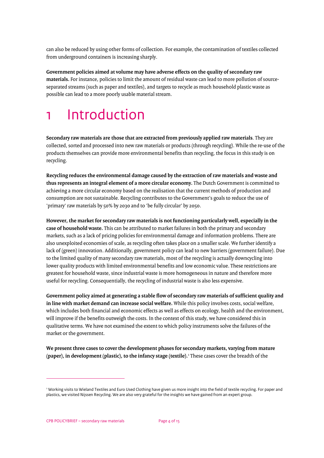can also be reduced by using other forms of collection. For example, the contamination of textiles collected from underground containers is increasing sharply.

**Government policies aimed at volume may have adverse effects on the quality of secondary raw materials.** For instance, policies to limit the amount of residual waste can lead to more pollution of sourceseparated streams (such as paper and textiles), and targets to recycle as much household plastic waste as possible can lead to a more poorly usable material stream.

# 1 Introduction

**Secondary raw materials are those that are extracted from previously applied raw materials**. They are collected, sorted and processed into new raw materials or products (through recycling). While the re-use of the products themselves can provide more environmental benefits than recycling, the focus in this study is on recycling.

**Recycling reduces the environmental damage caused by the extraction of raw materials and waste and thus represents an integral element of a more circular economy.** The Dutch Government is committed to achieving a more circular economy based on the realisation that the current methods of production and consumption are not sustainable. Recycling contributes to the Government's goals to reduce the use of 'primary' raw materials by 50% by 2030 and to 'be fully circular' by 2050.

**However, the market for secondary raw materials is not functioning particularly well, especially in the case of household waste.** This can be attributed to market failures in both the primary and secondary markets, such as a lack of pricing policies for environmental damage and information problems. There are also unexploited economies of scale, as recycling often takes place on a smaller scale. We further identify a lack of (green) innovation. Additionally, government policy can lead to new barriers (government failure). Due to the limited quality of many secondary raw materials, most of the recycling is actually downcycling into lower quality products with limited environmental benefits and low economic value. These restrictions are greatest for household waste, since industrial waste is more homogeneous in nature and therefore more useful for recycling. Consequentially, the recycling of industrial waste is also less expensive.

**Government policy aimed at generating a stable flow of secondary raw materials of sufficient quality and in line with market demand can increase social welfare.** While this policy involves costs, social welfare, which includes both financial and economic effects as well as effects on ecology, health and the environment, will improve if the benefits outweigh the costs. In the context of this study, we have considered this in qualitative terms. We have not examined the extent to which policy instruments solve the failures of the market or the government.

**We present three cases to cover the development phases for secondary markets, varying from mature (paper), in development (plastic), to the infancy stage (textile).**[1](#page-3-0) These cases cover the breadth of the

<span id="page-3-0"></span><sup>1</sup> Working visits to Wieland Textiles and Euro Used Clothing have given us more insight into the field of textile recycling. For paper and plastics, we visited Nijssen Recycling. We are also very grateful for the insights we have gained from an expert group.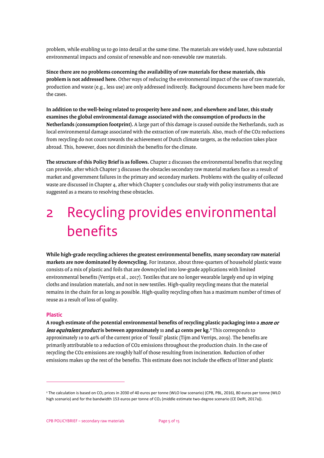problem, while enabling us to go into detail at the same time. The materials are widely used, have substantial environmental impacts and consist of renewable and non-renewable raw materials.

**Since there are no problems concerning the availability of raw materials for these materials, this problem is not addressed here.** Other ways of reducing the environmental impact of the use of raw materials, production and waste (e.g., less use) are only addressed indirectly. Background documents have been made for the cases.

**In addition to the well-being related to prosperity here and now, and elsewhere and later, this study examines the global environmental damage associated with the consumption of products in the Netherlands (consumption footprint).** A large part of this damage is caused outside the Netherlands, such as local environmental damage associated with the extraction of raw materials. Also, much of the CO2 reductions from recycling do not count towards the achievement of Dutch climate targets, as the reduction takes place abroad. This, however, does not diminish the benefits for the climate.

**The structure of this Policy Brief is as follows.** Chapter 2 discusses the environmental benefits that recycling can provide, after which Chapter 3 discusses the obstacles secondary raw material markets face as a result of market and government failures in the primary and secondary markets. Problems with the quality of collected waste are discussed in Chapter 4, after which Chapter 5 concludes our study with policy instruments that are suggested as a means to resolving these obstacles.

# 2 Recycling provides environmental benefits

**While high-grade recycling achieves the greatest environmental benefits, many secondary raw material markets are now dominated by downcycling.** For instance, about three-quarters of household plastic waste consists of a mix of plastic and foils that are downcycled into low-grade applications with limited environmental benefits (Verrips et al., 2017). Textiles that are no longer wearable largely end up in wiping cloths and insulation materials, and not in new textiles. High-quality recycling means that the material remains in the chain for as long as possible. High-quality recycling often has a maximum number of times of reuse as a result of loss of quality.

### **Plastic**

**A rough estimate of the potential environmental benefits of recycling plastic packaging into a** more or less equivalent product **is between approximately 11 and 42 cents per kg.[2](#page-4-0)** This corresponds to approximately 10 to 40% of the current price of 'fossil' plastic (Tijm and Verrips, 2019). The benefits are primarily attributable to a reduction of CO2 emissions throughout the production chain. In the case of recycling the CO2 emissions are roughly half of those resulting from incineration. Reduction of other emissions makes up the rest of the benefits. This estimate does not include the effects of litter and plastic

<span id="page-4-0"></span><sup>&</sup>lt;sup>2</sup> The calculation is based on CO<sub>2</sub> prices in 2030 of 40 euros per tonne (WLO low scenario) (CPB, PBL, 2016), 80 euros per tonne (WLO high scenario) and for the bandwidth 153 euros per tonne of  $CO<sub>2</sub>$  (middle estimate two-degree scenario (CE Delft, 2017a)).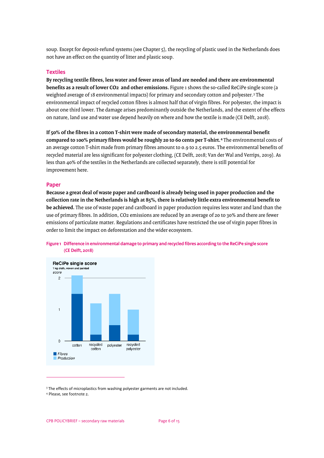soup. Except for deposit-refund systems (see Chapter 5), the recycling of plastic used in the Netherlands does not have an effect on the quantity of litter and plastic soup.

### **Textiles**

**By recycling textile fibres, less water and fewer areas of land are needed and there are environmental benefits as a result of lower CO2 and other emissions.** Figure 1 shows the so-called ReCiPe single score (a weighted average of 18 environmental impacts) for primary and secondary cotton and polyester.[3](#page-5-0) The environmental impact of recycled cotton fibres is almost half that of virgin fibres. For polyester, the impact is about one third lower. The damage arises predominantly outside the Netherlands, and the extent of the effects on nature, land use and water use depend heavily on where and how the textile is made (CE Delft, 2018).

**If 50% of the fibres in a cotton T-shirt were made of secondary material, the environmental benefit compared to 100% primary fibres would be roughly 20 to 60 cents per T-shirt.[4](#page-5-1)** The environmental costs of an average cotton T-shirt made from primary fibres amount to 0.9 to 2.5 euros. The environmental benefits of recycled material are less significant for polyester clothing, (CE Delft, 2018; Van der Wal and Verrips, 2019). As less than 40% of the textiles in the Netherlands are collected separately, there is still potential for improvement here.

### **Paper**

**Because a great deal of waste paper and cardboard is already being used in paper production and the collection rate in the Netherlands is high at 85%, there is relatively little extra environmental benefit to be achieved.** The use of waste paper and cardboard in paper production requires less water and land than the use of primary fibres. In addition, CO2 emissions are reduced by an average of 20 to 30% and there are fewer emissions of particulate matter. Regulations and certificates have restricted the use of virgin paper fibres in order to limit the impact on deforestation and the wider ecosystem.



### **Figure 1 Difference in environmental damage to primary and recycled fibres according to the ReCiPe single score (CE Delft, 2018)**

<span id="page-5-0"></span><sup>&</sup>lt;sup>3</sup> The effects of microplastics from washing polyester garments are not included.<br><sup>4</sup> Please, see footnote 2.

<span id="page-5-1"></span>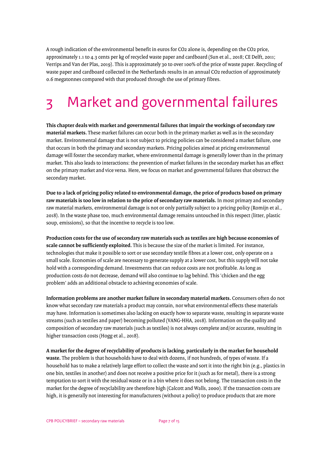A rough indication of the environmental benefit in euros for CO2 alone is, depending on the CO2 price, approximately 1.1 to 4.3 cents per kg of recycled waste paper and cardboard (Sun et al., 2018; CE Delft, 2011; Verrips and Van der Plas, 2019). This is approximately 30 to over 100% of the price of waste paper. Recycling of waste paper and cardboard collected in the Netherlands results in an annual CO2 reduction of approximately 0.6 megatonnes compared with that produced through the use of primary fibres.

# 3 Market and governmental failures

**This chapter deals with market and governmental failures that impair the workings of secondary raw material markets.** These market failures can occur both in the primary market as well as in the secondary market. Environmental damage that is not subject to pricing policies can be considered a market failure, one that occurs in both the primary and secondary markets. Pricing policies aimed at pricing environmental damage will foster the secondary market, where environmental damage is generally lower than in the primary market. This also leads to interactions: the prevention of market failures in the secondary market has an effect on the primary market and vice versa. Here, we focus on market and governmental failures that obstruct the secondary market.

**Due to a lack of pricing policy related to environmental damage, the price of products based on primary raw materials is too low in relation to the price of secondary raw materials.** In most primary and secondary raw material markets, environmental damage is not or only partially subject to a pricing policy (Romijn et al., 2018). In the waste phase too, much environmental damage remains untouched in this respect (litter, plastic soup, emissions), so that the incentive to recycle is too low.

**Production costs for the use of secondary raw materials such as textiles are high because economies of scale cannot be sufficiently exploited.** This is because the size of the market is limited. For instance, technologies that make it possible to sort or use secondary textile fibres at a lower cost, only operate on a small scale. Economies of scale are necessary to generate supply at a lower cost, but this supply will not take hold with a corresponding demand. Investments that can reduce costs are not profitable. As long as production costs do not decrease, demand will also continue to lag behind. This 'chicken and the egg problem' adds an additional obstacle to achieving economies of scale.

**Information problems are another market failure in secondary material markets.** Consumers often do not know what secondary raw materials a product may contain, nor what environmental effects these materials may have. Information is sometimes also lacking on exactly how to separate waste, resulting in separate waste streams (such as textiles and paper) becoming polluted (VANG-HHA, 2018). Information on the quality and composition of secondary raw materials (such as textiles) is not always complete and/or accurate, resulting in higher transaction costs (Hogg et al., 2018).

**A market for the degree of recyclability of products is lacking, particularly in the market for household waste.** The problem is that households have to deal with dozens, if not hundreds, of types of waste. If a household has to make a relatively large effort to collect the waste and sort it into the right bin (e.g., plastics in one bin, textiles in another) and does not receive a positive price for it (such as for metal), there is a strong temptation to sort it with the residual waste or in a bin where it does not belong. The transaction costs in the market for the degree of recyclability are therefore high (Calcott and Walls, 2000). If the transaction costs are high, it is generally not interesting for manufacturers (without a policy) to produce products that are more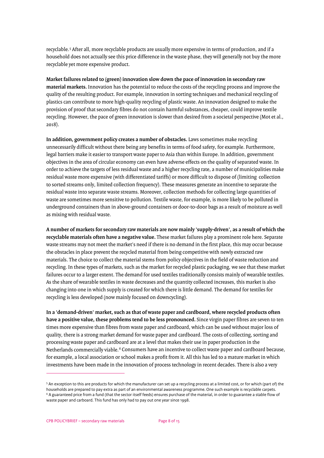recyclable.[5](#page-7-0) After all, more recyclable products are usually more expensive in terms of production, and if a household does not actually see this price difference in the waste phase, they will generally not buy the more recyclable yet more expensive product.

**Market failures related to (green) innovation slow down the pace of innovation in secondary raw material markets.** Innovation has the potential to reduce the costs of the recycling process and improve the quality of the resulting product. For example, innovation in sorting techniques and mechanical recycling of plastics can contribute to more high-quality recycling of plastic waste. An innovation designed to make the provision of proof that secondary fibres do not contain harmful substances, cheaper, could improve textile recycling. However, the pace of green innovation is slower than desired from a societal perspective (Mot et al., 2018).

**In addition, government policy creates a number of obstacles.** Laws sometimes make recycling unnecessarily difficult without there being any benefits in terms of food safety, for example. Furthermore, legal barriers make it easier to transport waste paper to Asia than within Europe. In addition, government objectives in the area of circular economy can even have adverse effects on the quality of separated waste. In order to achieve the targets of less residual waste and a higher recycling rate, a number of municipalities make residual waste more expensive (with differentiated tariffs) or more difficult to dispose of (limiting collection to sorted streams only, limited collection frequency). These measures generate an incentive to separate the residual waste into separate waste streams. Moreover, collection methods for collecting large quantities of waste are sometimes more sensitive to pollution. Textile waste, for example, is more likely to be polluted in underground containers than in above-ground containers or door-to-door bags as a result of moisture as well as mixing with residual waste.

**A number of markets for secondary raw materials are now mainly 'supply-driven', as a result of which the recyclable materials often have a negative value.** These market failures play a prominent role here. Separate waste streams may not meet the market's need if there is no demand in the first place, this may occur because the obstacles in place prevent the recycled material from being competitive with newly extracted raw materials. The choice to collect the material stems from policy objectives in the field of waste reduction and recycling. In these types of markets, such as the market for recycled plastic packaging, we see that these market failures occur to a larger extent. The demand for used textiles traditionally consists mainly of wearable textiles. As the share of wearable textiles in waste decreases and the quantity collected increases, this market is also changing into one in which supply is created for which there is little demand. The demand for textiles for recycling is less developed (now mainly focused on downcycling).

**In a 'demand-driven' market, such as that of waste paper and cardboard, where recycled products often have a positive value, these problems tend to be less pronounced.** Since virgin paper fibres are seven to ten times more expensive than fibres from waste paper and cardboard, which can be used without major loss of quality, there is a strong market demand for waste paper and cardboard. The costs of collecting, sorting and processing waste paper and cardboard are at a level that makes their use in paper production in the Netherlands commercially viable.<sup>[6](#page-7-1)</sup> Consumers have an incentive to collect waste paper and cardboard because, for example, a local association or school makes a profit from it. All this has led to a mature market in which investments have been made in the innovation of process technology in recent decades. There is also a very

<span id="page-7-1"></span><span id="page-7-0"></span><sup>5</sup> An exception to this are products for which the manufacturer can set up a recycling process at a limited cost, or for which (part of) the households are prepared to pay extra as part of an environmental awareness programme. One such example is recyclable carpets. <sup>6</sup> A guaranteed price from a fund (that the sector itself feeds) ensures purchase of the material, in order to guarantee a stable flow of waste paper and carboard. This fund has only had to pay out one year since 1998.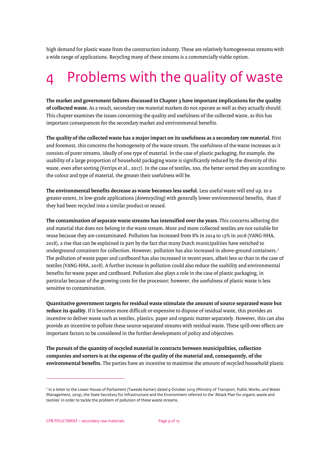high demand for plastic waste from the construction industry. These are relatively homogeneous streams with a wide range of applications. Recycling many of these streams is a commercially viable option.

# 4 Problems with the quality of waste

**The market and government failures discussed in Chapter 3 have important implications for the quality of collected waste.** As a result, secondary raw material markets do not operate as well as they actually should. This chapter examines the issues concerning the quality and usefulness of the collected waste, as this has important consequences for the secondary market and environmental benefits.

**The quality of the collected waste has a major impact on its usefulness as a secondary raw material.** First and foremost, this concerns the homogeneity of the waste stream. The usefulness of the waste increases as it consists of purer streams, ideally of one type of material. In the case of plastic packaging, for example, the usability of a large proportion of household packaging waste is significantly reduced by the diversity of this waste, even after sorting (Verrips et al., 2017). In the case of textiles, too, the better sorted they are according to the colour and type of material, the greater their usefulness will be.

**The environmental benefits decrease as waste becomes less useful.** Less useful waste will end up, to a greater extent, in low-grade applications (downcycling) with generally lower environmental benefits, than if they had been recycled into a similar product or reused.

**The contamination of separate waste streams has intensified over the years.** This concerns adhering dirt and material that does not belong in the waste stream. More and more collected textiles are not suitable for reuse because they are contaminated. Pollution has increased from 8% in 2014 to 13% in 2018 (VANG-HHA, 2018), a rise that can be explained in part by the fact that many Dutch municipalities have switched to underground containers for collection. However, pollution has also increased in above-ground containers.[7](#page-8-0) The pollution of waste paper and cardboard has also increased in recent years, albeit less so than in the case of textiles (VANG-HHA, 2018). A further increase in pollution could also reduce the usability and environmental benefits for waste paper and cardboard. Pollution also plays a role in the case of plastic packaging, in particular because of the growing costs for the processor; however, the usefulness of plastic waste is less sensitive to contamination.

**Quantitative government targets for residual waste stimulate the amount of source separated waste but reduce its quality.** If it becomes more difficult or expensive to dispose of residual waste, this provides an incentive to deliver waste such as textiles, plastics, paper and organic matter separately. However, this can also provide an incentive to pollute these source-separated streams with residual waste. These spill-over effects are important factors to be considered in the further development of policy and objectives.

**The pursuit of the quantity of recycled material in contracts between municipalities, collection companies and sorters is at the expense of the quality of the material and, consequently, of the environmental benefits.** The parties have an incentive to maximise the amount of recycled household plastic

<span id="page-8-0"></span><sup>7</sup> In a letter to the Lower House of Parliament (Tweede Kamer) dated 9 October 2019 (Ministry of Transport, Public Works, and Water Management, 2019), the State Secretary for Infrastructure and the Environment referred to the 'Attack Plan for organic waste and textiles' in order to tackle the problem of pollution of these waste streams.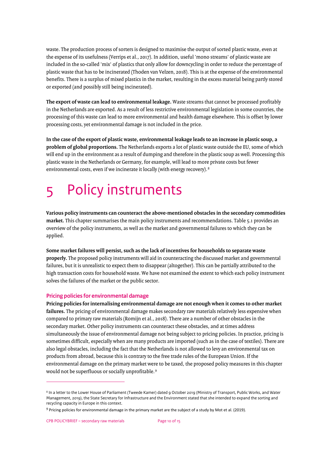waste. The production process of sorters is designed to maximise the output of sorted plastic waste, even at the expense of its usefulness (Verrips et al., 2017). In addition, useful 'mono streams' of plastic waste are included in the so-called 'mix' of plastics that only allow for downcycling in order to reduce the percentage of plastic waste that has to be incinerated (Thoden van Velzen, 2018). This is at the expense of the environmental benefits. There is a surplus of mixed plastics in the market, resulting in the excess material being partly stored or exported (and possibly still being incinerated).

**The export of waste can lead to environmental leakage.** Waste streams that cannot be processed profitably in the Netherlands are exported. As a result of less restrictive environmental legislation in some countries, the processing of this waste can lead to more environmental and health damage elsewhere. This is offset by lower processing costs, yet environmental damage is not included in the price.

**In the case of the export of plastic waste, environmental leakage leads to an increase in plastic soup, a problem of global proportions.** The Netherlands exports a lot of plastic waste outside the EU, some of which will end up in the environment as a result of dumping and therefore in the plastic soup as well. Processing this plastic waste in the Netherlands or Germany, for example, will lead to more private costs but fewer environmental costs, even if we incinerate it locally (with energy recovery).<sup>[8](#page-9-0)</sup>

# 5 Policy instruments

**Various policy instruments can counteract the above-mentioned obstacles in the secondary commodities market.** This chapter summarises the main policy instruments and recommendations. Table 5.1 provides an overview of the policy instruments, as well as the market and governmental failures to which they can be applied.

**Some market failures will persist, such as the lack of incentives for households to separate waste properly.** The proposed policy instruments will aid in counteracting the discussed market and governmental failures, but it is unrealistic to expect them to disappear (altogether). This can be partially attributed to the high transaction costs for household waste. We have not examined the extent to which each policy instrument solves the failures of the market or the public sector.

### **Pricing policies for environmental damage**

**Pricing policies for internalising environmental damage are not enough when it comes to other market failures.** The pricing of environmental damage makes secondary raw materials relatively less expensive when compared to primary raw materials (Romijn et al., 2018). There are a number of other obstacles in the secondary market. Other policy instruments can counteract these obstacles, and at times address simultaneously the issue of environmental damage not being subject to pricing policies. In practice, pricing is sometimes difficult, especially when are many products are imported (such as in the case of textiles). There are also legal obstacles, including the fact that the Netherlands is not allowed to levy an environmental tax on products from abroad, because this is contrary to the free trade rules of the European Union. If the environmental damage on the primary market were to be taxed, the proposed policy measures in this chapter would not be superfluous or socially unprofitable.<sup>[9](#page-9-1)</sup>

<span id="page-9-0"></span><sup>8</sup> In a letter to the Lower House of Parliament (Tweede Kamer) dated 9 October 2019 (Ministry of Transport, Public Works, and Water Management, 2019), the State Secretary for Infrastructure and the Environment stated that she intended to expand the sorting and recycling capacity in Europe in this context.

<span id="page-9-1"></span><sup>9</sup> Pricing policies for environmental damage in the primary market are the subject of a study by Mot et al. (2019).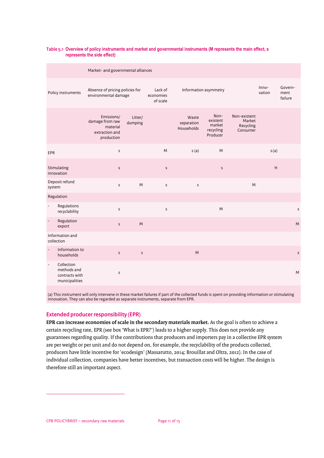#### **Table 5.1 Overview of policy instruments and market and governmental instruments (M represents the main effect, s represents the side effect)**

| Market- and governmental alliances |                                                               |                                                                           |                    |                                  |                                   |                                                     |                                                 |                 |                            |
|------------------------------------|---------------------------------------------------------------|---------------------------------------------------------------------------|--------------------|----------------------------------|-----------------------------------|-----------------------------------------------------|-------------------------------------------------|-----------------|----------------------------|
| Policy instruments                 |                                                               | Absence of pricing policies for<br>environmental damage                   |                    | Lack of<br>economies<br>of scale |                                   | Information asymmetry                               |                                                 | Inno-<br>vation | Govern-<br>ment<br>failure |
|                                    |                                                               | Emissions/<br>damage from raw<br>material<br>extraction and<br>production | Litter/<br>dumping |                                  | Waste<br>separation<br>Households | Non-<br>existent<br>market<br>recycling<br>Producer | Non-existent<br>Market<br>Recycling<br>Consumer |                 |                            |
| <b>EPR</b>                         |                                                               | $\sf S$                                                                   |                    | M                                | s(a)                              | M                                                   |                                                 | s(a)            |                            |
| Stimulating<br>innovation          |                                                               | $\sf S$                                                                   |                    | $\mathsf{s}$                     |                                   | $\sf S$                                             |                                                 | H               |                            |
| Deposit refund<br>system           |                                                               | $\sf S$                                                                   | M                  | $\mathsf{s}$                     | $\sf S$                           |                                                     | M                                               |                 |                            |
| Regulation                         |                                                               |                                                                           |                    |                                  |                                   |                                                     |                                                 |                 |                            |
| $\overline{a}$                     | Regulations<br>recyclability                                  | $\sf S$                                                                   |                    | $\sf s$                          |                                   | M                                                   |                                                 |                 | $\sf S$                    |
|                                    | Regulation<br>export                                          | $\sf s$                                                                   | M                  |                                  |                                   |                                                     |                                                 |                 | M                          |
| Information and<br>collection      |                                                               |                                                                           |                    |                                  |                                   |                                                     |                                                 |                 |                            |
|                                    | Information to<br>households                                  | $\sf S$                                                                   | $\sf S$            |                                  | ${\sf M}$                         |                                                     |                                                 |                 | $\sf S$                    |
| $\overline{a}$                     | Collection<br>methods and<br>contracts with<br>municipalities | $\sf S$                                                                   |                    |                                  |                                   |                                                     |                                                 |                 | M                          |

(a) This instrument will only intervene in these market failures if part of the collected funds is spent on providing information or stimulating innovation. They can also be regarded as separate instruments, separate from EPR.

### **Extended producer responsibility (EPR)**

**EPR can increase economies of scale in the secondary materials market.** As the goal is often to achieve a certain recycling rate, EPR (see box 'What is EPR?') leads to a higher supply. This does not provide any guarantees regarding quality. If the contributions that producers and importers pay in a collective EPR system are per weight or per unit and do not depend on, for example, the recyclability of the products collected, producers have little incentive for 'ecodesign' (Massarutto, 2014; Brouillat and Oltra, 2012). In the case of individual collection, companies have better incentives, but transaction costs will be higher. The design is therefore still an important aspect.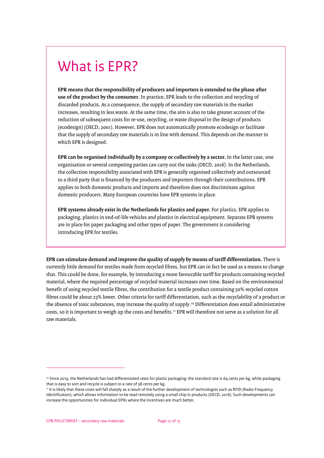### What is EPR?

**EPR means that the responsibility of producers and importers is extended to the phase after use of the product by the consumer.** In practice, EPR leads to the collection and recycling of discarded products. As a consequence, the supply of secondary raw materials in the market increases, resulting in less waste. At the same time, the aim is also to take greater account of the reduction of subsequent costs for re-use, recycling, or waste disposal in the design of products (ecodesign) (OECD, 2001). However, EPR does not automatically promote ecodesign or facilitate that the supply of secondary raw materials is in line with demand. This depends on the manner in which EPR is designed.

**EPR can be organised individually by a company or collectively by a sector.** In the latter case, one organisation or several competing parties can carry out the tasks (OECD, 2016). In the Netherlands, the collection responsibility associated with EPR is generally organised collectively and outsourced to a third party that is financed by the producers and importers through their contributions. EPR applies to both domestic products and imports and therefore does not discriminate against domestic producers. Many European countries have EPR systems in place.

**EPR systems already exist in the Netherlands for plastics and paper.** For plastics, EPR applies to packaging, plastics in end-of-life vehicles and plastics in electrical equipment. Separate EPR systems are in place for paper packaging and other types of paper. The government is considering introducing EPR for textiles.

**EPR can stimulate demand and improve the quality of supply by means of tariff differentiation.** There is currently little demand for textiles made from recycled fibres, but EPR can in fact be used as a means to change that. This could be done, for example, by introducing a more favourable tariff for products containing recycled material, where the required percentage of recycled material increases over time. Based on the environmental benefit of using recycled textile fibres, the contribution for a textile product containing 50% recycled cotton fibres could be about 23% lower. Other criteria for tariff differentiation, such as the recyclability of a product or the absence of toxic substances, may increase the quality of supply.<sup>[10](#page-11-0)</sup> Differentiation does entail administrative costs, so it is important to weigh up the costs and benefits.<sup>[11](#page-11-1)</sup> EPR will therefore not serve as a solution for all raw materials.

<span id="page-11-0"></span> $10$  Since 2019, the Netherlands has had differentiated rates for plastic packaging: the standard rate is 64 cents per kg, while packaging that is easy to sort and recycle is subject to a rate of 38 cents per kg.

<span id="page-11-1"></span><sup>11</sup> It is likely that these costs will fall sharply as a result of the further development of technologies such as RFID (Radio Frequency Identification), which allows information to be read remotely using a small chip in products (OECD, 2016). Such developments can increase the opportunities for individual EPRs where the incentives are much better.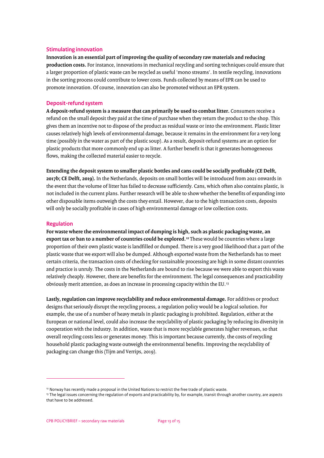### **Stimulating innovation**

**Innovation is an essential part of improving the quality of secondary raw materials and reducing production costs.** For instance, innovations in mechanical recycling and sorting techniques could ensure that a larger proportion of plastic waste can be recycled as useful 'mono streams'. In textile recycling, innovations in the sorting process could contribute to lower costs. Funds collected by means of EPR can be used to promote innovation. Of course, innovation can also be promoted without an EPR system.

### **Deposit-refund system**

**A deposit-refund system is a measure that can primarily be used to combat litter.** Consumers receive a refund on the small deposit they paid at the time of purchase when they return the product to the shop. This gives them an incentive not to dispose of the product as residual waste or into the environment. Plastic litter causes relatively high levels of environmental damage, because it remains in the environment for a very long time (possibly in the water as part of the plastic soup). As a result, deposit-refund systems are an option for plastic products that more commonly end up as litter. A further benefit is that it generates homogeneous flows, making the collected material easier to recycle.

**Extending the deposit system to smaller plastic bottles and cans could be socially profitable (CE Delft, 2017b; CE Delft, 2019).** In the Netherlands, deposits on small bottles will be introduced from 2021 onwards in the event that the volume of litter has failed to decrease sufficiently. Cans, which often also contains plastic, is not included in the current plans. Further research will be able to show whether the benefits of expanding into other disposable items outweigh the costs they entail. However, due to the high transaction costs, deposits will only be socially profitable in cases of high environmental damage or low collection costs.

### **Regulation**

**For waste where the environmental impact of dumping is high, such as plastic packaging waste, an export tax or ban to a number of countries could be explored.[12](#page-12-0)** These would be countries where a large proportion of their own plastic waste is landfilled or dumped. There is a very good likelihood that a part of the plastic waste that we export will also be dumped. Although exported waste from the Netherlands has to meet certain criteria, the transaction costs of checking for sustainable processing are high in some distant countries and practice is unruly. The costs in the Netherlands are bound to rise because we were able to export this waste relatively cheaply. However, there are benefits for the environment. The legal consequences and practicability obviously merit attention, as does an increase in processing capacity within the EU.[13](#page-12-1)

**Lastly, regulation can improve recyclability and reduce environmental damage.** For additives or product designs that seriously disrupt the recycling process, a regulation policy would be a logical solution. For example, the use of a number of heavy metals in plastic packaging is prohibited. Regulation, either at the European or national level, could also increase the recyclability of plastic packaging by reducing its diversity in cooperation with the industry. In addition, waste that is more recyclable generates higher revenues, so that overall recycling costs less or generates money. This is important because currently, the costs of recycling household plastic packaging waste outweigh the environmental benefits. Improving the recyclability of packaging can change this (Tijm and Verrips, 2019).

<span id="page-12-0"></span><sup>&</sup>lt;sup>12</sup> Norway has recently made a proposal in the United Nations to restrict the free trade of plastic waste.

<span id="page-12-1"></span><sup>&</sup>lt;sup>13</sup> The legal issues concerning the regulation of exports and practicability by, for example, transit through another country, are aspects that have to be addressed.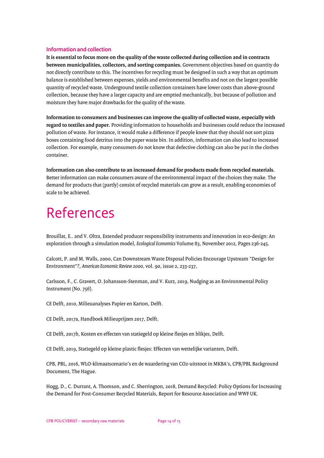### **Information and collection**

**It is essential to focus more on the quality of the waste collected during collection and in contracts between municipalities, collectors, and sorting companies.** Government objectives based on quantity do not directly contribute to this. The incentives for recycling must be designed in such a way that an optimum balance is established between expenses, yields and environmental benefits and not on the largest possible quantity of recycled waste. Underground textile collection containers have lower costs than above-ground collection, because they have a larger capacity and are emptied mechanically, but because of pollution and moisture they have major drawbacks for the quality of the waste.

**Information to consumers and businesses can improve the quality of collected waste, especially with regard to textiles and paper.** Providing information to households and businesses could reduce the increased pollution of waste. For instance, it would make a difference if people knew that they should not sort pizza boxes containing food detritus into the paper waste bin. In addition, information can also lead to increased collection. For example, many consumers do not know that defective clothing can also be put in the clothes container.

**Information can also contribute to an increased demand for products made from recycled materials.** Better information can make consumers aware of the environmental impact of the choices they make. The demand for products that (partly) consist of recycled materials can grow as a result, enabling economies of scale to be achieved.

## References

Brouillat, E.. and V. Oltra, Extended producer responsibility instruments and innovation in eco-design: An exploration through a simulation model, *Ecological Economics* Volume 83, November 2012, Pages 236-245.

Calcott, P. and M. Walls, 2000, Can Downstream Waste Disposal Policies Encourage Upstream "Design for Environment"?, *American Economic Review 2000*, vol. 90, issue 2, 233-237,

Carlsson, F., C. Gravert, O. Johansson-Stenman, and V. Kurz, 2019, Nudging as an Environmental Policy Instrument (No. 756).

CE Delft, 2010, Milieuanalyses Papier en Karton, Delft.

CE Delft, 2017a, Handboek Milieuprijzen 2017, Delft.

CE Delft, 2017b, Kosten en effecten van statiegeld op kleine flesjes en blikjes, Delft.

CE Delft, 2019, Statiegeld op kleine plastic flesjes: Effecten van wettelijke varianten, Delft.

CPB, PBL, 2016, WLO-klimaatscenario's en de waardering van CO2-uitstoot in MKBA's, CPB/PBL Background Document, The Hague.

Hogg, D., C. Durrant, A. Thomson, and C. Sherrington, 2018, Demand Recycled: Policy Options for Increasing the Demand for Post-Consumer Recycled Materials, Report for Resource Association and WWF UK.